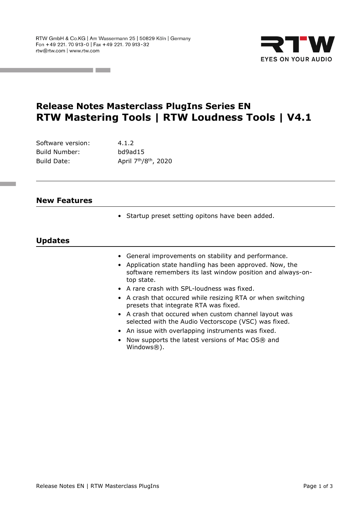

## **Release Notes Masterclass PlugIns Series EN RTW Mastering Tools | RTW Loudness Tools | V4.1**

| Software version: | 4.1.2                                         |
|-------------------|-----------------------------------------------|
| Build Number:     | bd9ad15                                       |
| Build Date:       | April 7 <sup>th</sup> /8 <sup>th</sup> , 2020 |

## **New Features**

• Startup preset setting opitons have been added.

## **Updates**

Ī

Ī

- General improvements on stability and performance.
- Application state handling has been approved. Now, the software remembers its last window position and always-ontop state.
- A rare crash with SPL-loudness was fixed.
- A crash that occured while resizing RTA or when switching presets that integrate RTA was fixed.
- A crash that occured when custom channel layout was selected with the Audio Vectorscope (VSC) was fixed.
- An issue with overlapping instruments was fixed.
- Now supports the latest versions of Mac OS® and Windows®).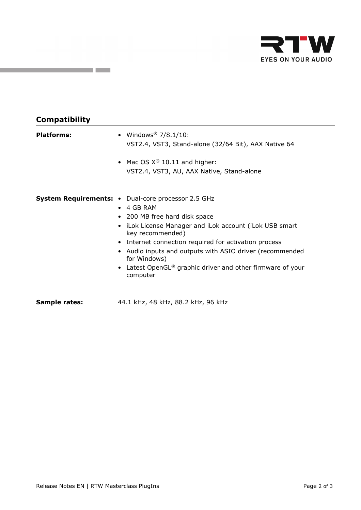

| <b>Compatibility</b> |                                                                                                                                                                                                                                                                                                                                                                                                                                    |
|----------------------|------------------------------------------------------------------------------------------------------------------------------------------------------------------------------------------------------------------------------------------------------------------------------------------------------------------------------------------------------------------------------------------------------------------------------------|
| <b>Platforms:</b>    | • Windows <sup>®</sup> $7/8.1/10$ :<br>VST2.4, VST3, Stand-alone (32/64 Bit), AAX Native 64                                                                                                                                                                                                                                                                                                                                        |
|                      | • Mac OS $X^{\circledast}$ 10.11 and higher:<br>VST2.4, VST3, AU, AAX Native, Stand-alone                                                                                                                                                                                                                                                                                                                                          |
|                      | <b>System Requirements: •</b> Dual-core processor 2.5 GHz<br>$\bullet$ 4 GB RAM<br>• 200 MB free hard disk space<br>iLok License Manager and iLok account (iLok USB smart<br>$\bullet$<br>key recommended)<br>• Internet connection required for activation process<br>Audio inputs and outputs with ASIO driver (recommended<br>for Windows)<br>Latest OpenGL® graphic driver and other firmware of your<br>$\bullet$<br>computer |
| Sample rates:        | 44.1 kHz, 48 kHz, 88.2 kHz, 96 kHz                                                                                                                                                                                                                                                                                                                                                                                                 |

and the company of the company